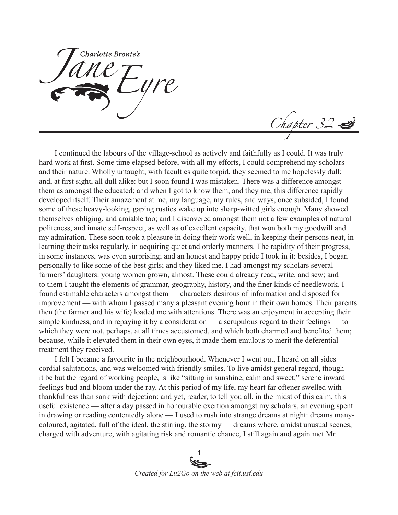Charlotte Bronte's

Chapter 32

I continued the labours of the village-school as actively and faithfully as I could. It was truly hard work at first. Some time elapsed before, with all my efforts, I could comprehend my scholars and their nature. Wholly untaught, with faculties quite torpid, they seemed to me hopelessly dull; and, at first sight, all dull alike: but I soon found I was mistaken. There was a difference amongst them as amongst the educated; and when I got to know them, and they me, this difference rapidly developed itself. Their amazement at me, my language, my rules, and ways, once subsided, I found some of these heavy-looking, gaping rustics wake up into sharp-witted girls enough. Many showed themselves obliging, and amiable too; and I discovered amongst them not a few examples of natural politeness, and innate self-respect, as well as of excellent capacity, that won both my goodwill and my admiration. These soon took a pleasure in doing their work well, in keeping their persons neat, in learning their tasks regularly, in acquiring quiet and orderly manners. The rapidity of their progress, in some instances, was even surprising; and an honest and happy pride I took in it: besides, I began personally to like some of the best girls; and they liked me. I had amongst my scholars several farmers' daughters: young women grown, almost. These could already read, write, and sew; and to them I taught the elements of grammar, geography, history, and the finer kinds of needlework. I found estimable characters amongst them — characters desirous of information and disposed for improvement — with whom I passed many a pleasant evening hour in their own homes. Their parents then (the farmer and his wife) loaded me with attentions. There was an enjoyment in accepting their simple kindness, and in repaying it by a consideration — a scrupulous regard to their feelings — to which they were not, perhaps, at all times accustomed, and which both charmed and benefited them; because, while it elevated them in their own eyes, it made them emulous to merit the deferential treatment they received.

I felt I became a favourite in the neighbourhood. Whenever I went out, I heard on all sides cordial salutations, and was welcomed with friendly smiles. To live amidst general regard, though it be but the regard of working people, is like "sitting in sunshine, calm and sweet;" serene inward feelings bud and bloom under the ray. At this period of my life, my heart far oftener swelled with thankfulness than sank with dejection: and yet, reader, to tell you all, in the midst of this calm, this useful existence — after a day passed in honourable exertion amongst my scholars, an evening spent in drawing or reading contentedly alone — I used to rush into strange dreams at night: dreams manycoloured, agitated, full of the ideal, the stirring, the stormy — dreams where, amidst unusual scenes, charged with adventure, with agitating risk and romantic chance, I still again and again met Mr.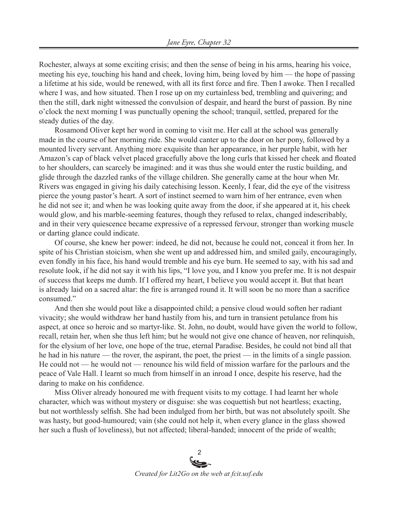Rochester, always at some exciting crisis; and then the sense of being in his arms, hearing his voice, meeting his eye, touching his hand and cheek, loving him, being loved by him — the hope of passing a lifetime at his side, would be renewed, with all its first force and fire. Then I awoke. Then I recalled where I was, and how situated. Then I rose up on my curtainless bed, trembling and quivering; and then the still, dark night witnessed the convulsion of despair, and heard the burst of passion. By nine o'clock the next morning I was punctually opening the school; tranquil, settled, prepared for the steady duties of the day.

Rosamond Oliver kept her word in coming to visit me. Her call at the school was generally made in the course of her morning ride. She would canter up to the door on her pony, followed by a mounted livery servant. Anything more exquisite than her appearance, in her purple habit, with her Amazon's cap of black velvet placed gracefully above the long curls that kissed her cheek and floated to her shoulders, can scarcely be imagined: and it was thus she would enter the rustic building, and glide through the dazzled ranks of the village children. She generally came at the hour when Mr. Rivers was engaged in giving his daily catechising lesson. Keenly, I fear, did the eye of the visitress pierce the young pastor's heart. A sort of instinct seemed to warn him of her entrance, even when he did not see it; and when he was looking quite away from the door, if she appeared at it, his cheek would glow, and his marble-seeming features, though they refused to relax, changed indescribably, and in their very quiescence became expressive of a repressed fervour, stronger than working muscle or darting glance could indicate.

Of course, she knew her power: indeed, he did not, because he could not, conceal it from her. In spite of his Christian stoicism, when she went up and addressed him, and smiled gaily, encouragingly, even fondly in his face, his hand would tremble and his eye burn. He seemed to say, with his sad and resolute look, if he did not say it with his lips, "I love you, and I know you prefer me. It is not despair of success that keeps me dumb. If I offered my heart, I believe you would accept it. But that heart is already laid on a sacred altar: the fire is arranged round it. It will soon be no more than a sacrifice consumed."

And then she would pout like a disappointed child; a pensive cloud would soften her radiant vivacity; she would withdraw her hand hastily from his, and turn in transient petulance from his aspect, at once so heroic and so martyr-like. St. John, no doubt, would have given the world to follow, recall, retain her, when she thus left him; but he would not give one chance of heaven, nor relinquish, for the elysium of her love, one hope of the true, eternal Paradise. Besides, he could not bind all that he had in his nature — the rover, the aspirant, the poet, the priest — in the limits of a single passion. He could not — he would not — renounce his wild field of mission warfare for the parlours and the peace of Vale Hall. I learnt so much from himself in an inroad I once, despite his reserve, had the daring to make on his confidence.

Miss Oliver already honoured me with frequent visits to my cottage. I had learnt her whole character, which was without mystery or disguise: she was coquettish but not heartless; exacting, but not worthlessly selfish. She had been indulged from her birth, but was not absolutely spoilt. She was hasty, but good-humoured; vain (she could not help it, when every glance in the glass showed her such a flush of loveliness), but not affected; liberal-handed; innocent of the pride of wealth;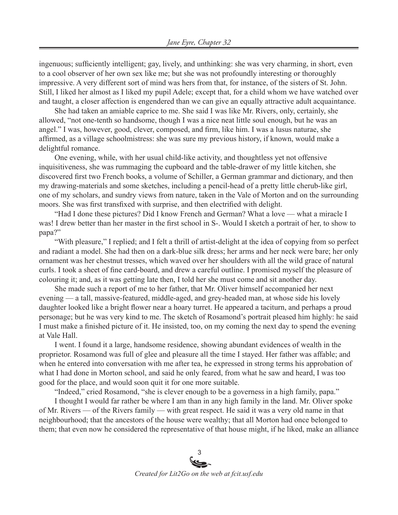ingenuous; sufficiently intelligent; gay, lively, and unthinking: she was very charming, in short, even to a cool observer of her own sex like me; but she was not profoundly interesting or thoroughly impressive. A very different sort of mind was hers from that, for instance, of the sisters of St. John. Still, I liked her almost as I liked my pupil Adele; except that, for a child whom we have watched over and taught, a closer affection is engendered than we can give an equally attractive adult acquaintance.

She had taken an amiable caprice to me. She said I was like Mr. Rivers, only, certainly, she allowed, "not one-tenth so handsome, though I was a nice neat little soul enough, but he was an angel." I was, however, good, clever, composed, and firm, like him. I was a lusus naturae, she affirmed, as a village schoolmistress: she was sure my previous history, if known, would make a delightful romance.

One evening, while, with her usual child-like activity, and thoughtless yet not offensive inquisitiveness, she was rummaging the cupboard and the table-drawer of my little kitchen, she discovered first two French books, a volume of Schiller, a German grammar and dictionary, and then my drawing-materials and some sketches, including a pencil-head of a pretty little cherub-like girl, one of my scholars, and sundry views from nature, taken in the Vale of Morton and on the surrounding moors. She was first transfixed with surprise, and then electrified with delight.

"Had I done these pictures? Did I know French and German? What a love — what a miracle I was! I drew better than her master in the first school in S-. Would I sketch a portrait of her, to show to papa?"

"With pleasure," I replied; and I felt a thrill of artist-delight at the idea of copying from so perfect and radiant a model. She had then on a dark-blue silk dress; her arms and her neck were bare; her only ornament was her chestnut tresses, which waved over her shoulders with all the wild grace of natural curls. I took a sheet of fine card-board, and drew a careful outline. I promised myself the pleasure of colouring it; and, as it was getting late then, I told her she must come and sit another day.

She made such a report of me to her father, that Mr. Oliver himself accompanied her next evening — a tall, massive-featured, middle-aged, and grey-headed man, at whose side his lovely daughter looked like a bright flower near a hoary turret. He appeared a taciturn, and perhaps a proud personage; but he was very kind to me. The sketch of Rosamond's portrait pleased him highly: he said I must make a finished picture of it. He insisted, too, on my coming the next day to spend the evening at Vale Hall.

I went. I found it a large, handsome residence, showing abundant evidences of wealth in the proprietor. Rosamond was full of glee and pleasure all the time I stayed. Her father was affable; and when he entered into conversation with me after tea, he expressed in strong terms his approbation of what I had done in Morton school, and said he only feared, from what he saw and heard, I was too good for the place, and would soon quit it for one more suitable.

"Indeed," cried Rosamond, "she is clever enough to be a governess in a high family, papa."

I thought I would far rather be where I am than in any high family in the land. Mr. Oliver spoke of Mr. Rivers — of the Rivers family — with great respect. He said it was a very old name in that neighbourhood; that the ancestors of the house were wealthy; that all Morton had once belonged to them; that even now he considered the representative of that house might, if he liked, make an alliance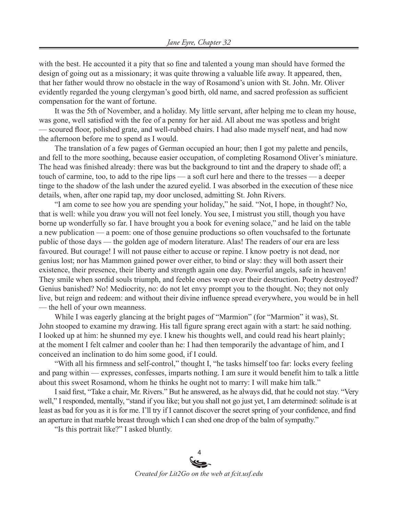with the best. He accounted it a pity that so fine and talented a young man should have formed the design of going out as a missionary; it was quite throwing a valuable life away. It appeared, then, that her father would throw no obstacle in the way of Rosamond's union with St. John. Mr. Oliver evidently regarded the young clergyman's good birth, old name, and sacred profession as sufficient compensation for the want of fortune.

It was the 5th of November, and a holiday. My little servant, after helping me to clean my house, was gone, well satisfied with the fee of a penny for her aid. All about me was spotless and bright — scoured floor, polished grate, and well-rubbed chairs. I had also made myself neat, and had now the afternoon before me to spend as I would.

The translation of a few pages of German occupied an hour; then I got my palette and pencils, and fell to the more soothing, because easier occupation, of completing Rosamond Oliver's miniature. The head was finished already: there was but the background to tint and the drapery to shade off; a touch of carmine, too, to add to the ripe lips — a soft curl here and there to the tresses — a deeper tinge to the shadow of the lash under the azured eyelid. I was absorbed in the execution of these nice details, when, after one rapid tap, my door unclosed, admitting St. John Rivers.

"I am come to see how you are spending your holiday," he said. "Not, I hope, in thought? No, that is well: while you draw you will not feel lonely. You see, I mistrust you still, though you have borne up wonderfully so far. I have brought you a book for evening solace," and he laid on the table a new publication — a poem: one of those genuine productions so often vouchsafed to the fortunate public of those days — the golden age of modern literature. Alas! The readers of our era are less favoured. But courage! I will not pause either to accuse or repine. I know poetry is not dead, nor genius lost; nor has Mammon gained power over either, to bind or slay: they will both assert their existence, their presence, their liberty and strength again one day. Powerful angels, safe in heaven! They smile when sordid souls triumph, and feeble ones weep over their destruction. Poetry destroyed? Genius banished? No! Mediocrity, no: do not let envy prompt you to the thought. No; they not only live, but reign and redeem: and without their divine influence spread everywhere, you would be in hell — the hell of your own meanness.

While I was eagerly glancing at the bright pages of "Marmion" (for "Marmion" it was), St. John stooped to examine my drawing. His tall figure sprang erect again with a start: he said nothing. I looked up at him: he shunned my eye. I knew his thoughts well, and could read his heart plainly; at the moment I felt calmer and cooler than he: I had then temporarily the advantage of him, and I conceived an inclination to do him some good, if I could.

"With all his firmness and self-control," thought I, "he tasks himself too far: locks every feeling and pang within — expresses, confesses, imparts nothing. I am sure it would benefit him to talk a little about this sweet Rosamond, whom he thinks he ought not to marry: I will make him talk."

I said first, "Take a chair, Mr. Rivers." But he answered, as he always did, that he could not stay. "Very well," I responded, mentally, "stand if you like; but you shall not go just yet, I am determined: solitude is at least as bad for you as it is for me. I'll try if I cannot discover the secret spring of your confidence, and find an aperture in that marble breast through which I can shed one drop of the balm of sympathy."

"Is this portrait like?" I asked bluntly.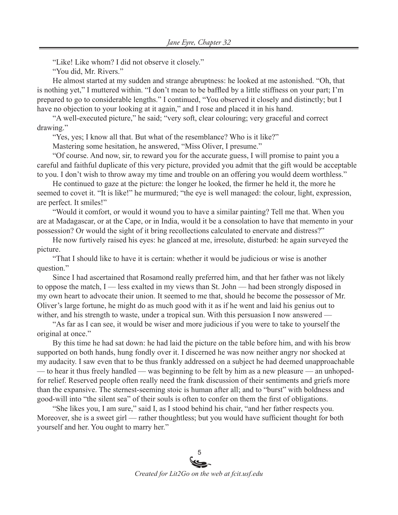"Like! Like whom? I did not observe it closely."

"You did, Mr. Rivers."

He almost started at my sudden and strange abruptness: he looked at me astonished. "Oh, that is nothing yet," I muttered within. "I don't mean to be baffled by a little stiffness on your part; I'm prepared to go to considerable lengths." I continued, "You observed it closely and distinctly; but I have no objection to your looking at it again," and I rose and placed it in his hand.

"A well-executed picture," he said; "very soft, clear colouring; very graceful and correct drawing."

"Yes, yes; I know all that. But what of the resemblance? Who is it like?"

Mastering some hesitation, he answered, "Miss Oliver, I presume."

"Of course. And now, sir, to reward you for the accurate guess, I will promise to paint you a careful and faithful duplicate of this very picture, provided you admit that the gift would be acceptable to you. I don't wish to throw away my time and trouble on an offering you would deem worthless."

He continued to gaze at the picture: the longer he looked, the firmer he held it, the more he seemed to covet it. "It is like!" he murmured; "the eye is well managed: the colour, light, expression, are perfect. It smiles!"

"Would it comfort, or would it wound you to have a similar painting? Tell me that. When you are at Madagascar, or at the Cape, or in India, would it be a consolation to have that memento in your possession? Or would the sight of it bring recollections calculated to enervate and distress?"

He now furtively raised his eyes: he glanced at me, irresolute, disturbed: he again surveyed the picture.

"That I should like to have it is certain: whether it would be judicious or wise is another question."

Since I had ascertained that Rosamond really preferred him, and that her father was not likely to oppose the match, I — less exalted in my views than St. John — had been strongly disposed in my own heart to advocate their union. It seemed to me that, should he become the possessor of Mr. Oliver's large fortune, he might do as much good with it as if he went and laid his genius out to wither, and his strength to waste, under a tropical sun. With this persuasion I now answered —

"As far as I can see, it would be wiser and more judicious if you were to take to yourself the original at once."

By this time he had sat down: he had laid the picture on the table before him, and with his brow supported on both hands, hung fondly over it. I discerned he was now neither angry nor shocked at my audacity. I saw even that to be thus frankly addressed on a subject he had deemed unapproachable — to hear it thus freely handled — was beginning to be felt by him as a new pleasure — an unhopedfor relief. Reserved people often really need the frank discussion of their sentiments and griefs more than the expansive. The sternest-seeming stoic is human after all; and to "burst" with boldness and good-will into "the silent sea" of their souls is often to confer on them the first of obligations.

"She likes you, I am sure," said I, as I stood behind his chair, "and her father respects you. Moreover, she is a sweet girl — rather thoughtless; but you would have sufficient thought for both yourself and her. You ought to marry her."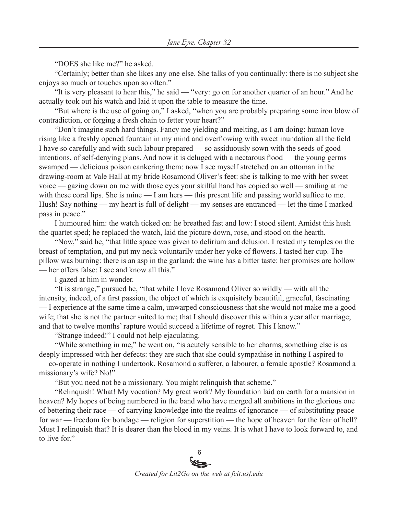"DOES she like me?" he asked.

"Certainly; better than she likes any one else. She talks of you continually: there is no subject she enjoys so much or touches upon so often."

"It is very pleasant to hear this," he said — "very: go on for another quarter of an hour." And he actually took out his watch and laid it upon the table to measure the time.

"But where is the use of going on," I asked, "when you are probably preparing some iron blow of contradiction, or forging a fresh chain to fetter your heart?"

"Don't imagine such hard things. Fancy me yielding and melting, as I am doing: human love rising like a freshly opened fountain in my mind and overflowing with sweet inundation all the field I have so carefully and with such labour prepared — so assiduously sown with the seeds of good intentions, of self-denying plans. And now it is deluged with a nectarous flood — the young germs swamped — delicious poison cankering them: now I see myself stretched on an ottoman in the drawing-room at Vale Hall at my bride Rosamond Oliver's feet: she is talking to me with her sweet voice — gazing down on me with those eyes your skilful hand has copied so well — smiling at me with these coral lips. She is mine — I am hers — this present life and passing world suffice to me. Hush! Say nothing — my heart is full of delight — my senses are entranced — let the time I marked pass in peace."

I humoured him: the watch ticked on: he breathed fast and low: I stood silent. Amidst this hush the quartet sped; he replaced the watch, laid the picture down, rose, and stood on the hearth.

"Now," said he, "that little space was given to delirium and delusion. I rested my temples on the breast of temptation, and put my neck voluntarily under her yoke of flowers. I tasted her cup. The pillow was burning: there is an asp in the garland: the wine has a bitter taste: her promises are hollow — her offers false: I see and know all this."

I gazed at him in wonder.

"It is strange," pursued he, "that while I love Rosamond Oliver so wildly — with all the intensity, indeed, of a first passion, the object of which is exquisitely beautiful, graceful, fascinating — I experience at the same time a calm, unwarped consciousness that she would not make me a good wife; that she is not the partner suited to me; that I should discover this within a year after marriage; and that to twelve months' rapture would succeed a lifetime of regret. This I know."

"Strange indeed!" I could not help ejaculating.

"While something in me," he went on, "is acutely sensible to her charms, something else is as deeply impressed with her defects: they are such that she could sympathise in nothing I aspired to — co-operate in nothing I undertook. Rosamond a sufferer, a labourer, a female apostle? Rosamond a missionary's wife? No!"

"But you need not be a missionary. You might relinquish that scheme."

"Relinquish! What! My vocation? My great work? My foundation laid on earth for a mansion in heaven? My hopes of being numbered in the band who have merged all ambitions in the glorious one of bettering their race — of carrying knowledge into the realms of ignorance — of substituting peace for war — freedom for bondage — religion for superstition — the hope of heaven for the fear of hell? Must I relinquish that? It is dearer than the blood in my veins. It is what I have to look forward to, and to live for."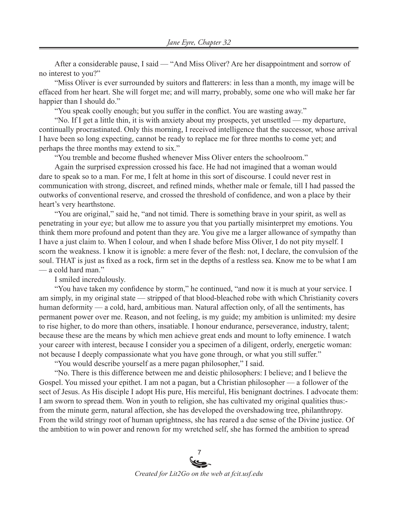After a considerable pause, I said — "And Miss Oliver? Are her disappointment and sorrow of no interest to you?"

"Miss Oliver is ever surrounded by suitors and flatterers: in less than a month, my image will be effaced from her heart. She will forget me; and will marry, probably, some one who will make her far happier than I should do."

"You speak coolly enough; but you suffer in the conflict. You are wasting away."

"No. If I get a little thin, it is with anxiety about my prospects, yet unsettled — my departure, continually procrastinated. Only this morning, I received intelligence that the successor, whose arrival I have been so long expecting, cannot be ready to replace me for three months to come yet; and perhaps the three months may extend to six."

"You tremble and become flushed whenever Miss Oliver enters the schoolroom."

Again the surprised expression crossed his face. He had not imagined that a woman would dare to speak so to a man. For me, I felt at home in this sort of discourse. I could never rest in communication with strong, discreet, and refined minds, whether male or female, till I had passed the outworks of conventional reserve, and crossed the threshold of confidence, and won a place by their heart's very hearthstone.

"You are original," said he, "and not timid. There is something brave in your spirit, as well as penetrating in your eye; but allow me to assure you that you partially misinterpret my emotions. You think them more profound and potent than they are. You give me a larger allowance of sympathy than I have a just claim to. When I colour, and when I shade before Miss Oliver, I do not pity myself. I scorn the weakness. I know it is ignoble: a mere fever of the flesh: not, I declare, the convulsion of the soul. THAT is just as fixed as a rock, firm set in the depths of a restless sea. Know me to be what I am — a cold hard man."

I smiled incredulously.

"You have taken my confidence by storm," he continued, "and now it is much at your service. I am simply, in my original state — stripped of that blood-bleached robe with which Christianity covers human deformity — a cold, hard, ambitious man. Natural affection only, of all the sentiments, has permanent power over me. Reason, and not feeling, is my guide; my ambition is unlimited: my desire to rise higher, to do more than others, insatiable. I honour endurance, perseverance, industry, talent; because these are the means by which men achieve great ends and mount to lofty eminence. I watch your career with interest, because I consider you a specimen of a diligent, orderly, energetic woman: not because I deeply compassionate what you have gone through, or what you still suffer."

"You would describe yourself as a mere pagan philosopher," I said.

"No. There is this difference between me and deistic philosophers: I believe; and I believe the Gospel. You missed your epithet. I am not a pagan, but a Christian philosopher — a follower of the sect of Jesus. As His disciple I adopt His pure, His merciful, His benignant doctrines. I advocate them: I am sworn to spread them. Won in youth to religion, she has cultivated my original qualities thus: from the minute germ, natural affection, she has developed the overshadowing tree, philanthropy. From the wild stringy root of human uprightness, she has reared a due sense of the Divine justice. Of the ambition to win power and renown for my wretched self, she has formed the ambition to spread